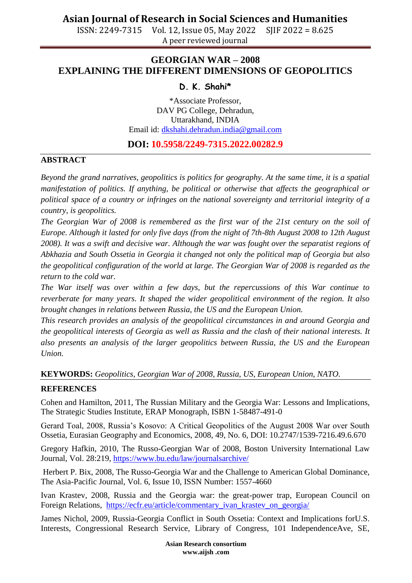# **Asian Journal of Research in Social Sciences and Humanities**

ISSN: 2249-7315 Vol. 12, Issue 05, May 2022 SJIF 2022 = 8.625 A peer reviewed journal

## **GEORGIAN WAR – 2008 EXPLAINING THE DIFFERENT DIMENSIONS OF GEOPOLITICS**

### **D. K. Shahi\***

\*Associate Professor, DAV PG College, Dehradun, Uttarakhand, INDIA Email id: [dkshahi.dehradun.india@gmail.com](mailto:dkshahi.dehradun.india@gmail.com)

### **DOI: 10.5958/2249-7315.2022.00282.9**

#### **ABSTRACT**

*Beyond the grand narratives, geopolitics is politics for geography. At the same time, it is a spatial manifestation of politics. If anything, be political or otherwise that affects the geographical or political space of a country or infringes on the national sovereignty and territorial integrity of a country, is geopolitics.* 

*The Georgian War of 2008 is remembered as the first war of the 21st century on the soil of Europe. Although it lasted for only five days (from the night of 7th-8th August 2008 to 12th August 2008). It was a swift and decisive war. Although the war was fought over the separatist regions of Abkhazia and South Ossetia in Georgia it changed not only the political map of Georgia but also the geopolitical configuration of the world at large. The Georgian War of 2008 is regarded as the return to the cold war.* 

*The War itself was over within a few days, but the repercussions of this War continue to reverberate for many years. It shaped the wider geopolitical environment of the region. It also brought changes in relations between Russia, the US and the European Union.* 

*This research provides an analysis of the geopolitical circumstances in and around Georgia and the geopolitical interests of Georgia as well as Russia and the clash of their national interests. It also presents an analysis of the larger geopolitics between Russia, the US and the European Union.*

**KEYWORDS:** *Geopolitics, Georgian War of 2008, Russia, US, European Union, NATO.*

#### **REFERENCES**

Cohen and Hamilton, 2011, The Russian Military and the Georgia War: Lessons and Implications, The Strategic Studies Institute, ERAP Monograph, ISBN 1-58487-491-0

Gerard Toal, 2008, Russia's Kosovo: A Critical Geopolitics of the August 2008 War over South Ossetia, Eurasian Geography and Economics, 2008, 49, No. 6, DOI: 10.2747/1539-7216.49.6.670

Gregory Hafkin, 2010, The Russo-Georgian War of 2008, Boston University International Law Journal, Vol. 28:219,<https://www.bu.edu/law/journalsarchive/>

Herbert P. Bix, 2008, The Russo-Georgia War and the Challenge to American Global Dominance, The Asia-Pacific Journal, Vol. 6, Issue 10, ISSN Number: 1557-4660

Ivan Krastev, 2008, Russia and the Georgia war: the great-power trap, European Council on Foreign Relations, [https://ecfr.eu/article/commentary\\_ivan\\_krastev\\_on\\_georgia/](https://ecfr.eu/article/commentary_ivan_krastev_on_georgia/)

James Nichol, 2009, Russia-Georgia Conflict in South Ossetia: Context and Implications forU.S. Interests, Congressional Research Service, Library of Congress, 101 IndependenceAve, SE,